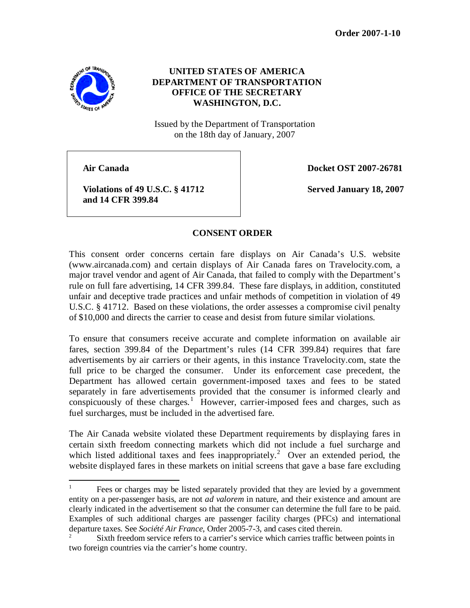**Order 2007-1-10** 



## **UNITED STATES OF AMERICA DEPARTMENT OF TRANSPORTATION OFFICE OF THE SECRETARY WASHINGTON, D.C.**

Issued by the Department of Transportation on the 18th day of January, 2007

**Air Canada Docket OST 2007-26781**

**Violations of 49 U.S.C. § 41712** Served January 18, 2007 **and 14 CFR 399.84** 

## **CONSENT ORDER**

This consent order concerns certain fare displays on Air Canada's U.S. website (www.aircanada.com) and certain displays of Air Canada fares on Travelocity.com, a major travel vendor and agent of Air Canada, that failed to comply with the Department's rule on full fare advertising, 14 CFR 399.84. These fare displays, in addition, constituted unfair and deceptive trade practices and unfair methods of competition in violation of 49 U.S.C. § 41712. Based on these violations, the order assesses a compromise civil penalty of \$10,000 and directs the carrier to cease and desist from future similar violations.

To ensure that consumers receive accurate and complete information on available air fares, section 399.84 of the Department's rules (14 CFR 399.84) requires that fare advertisements by air carriers or their agents, in this instance Travelocity.com, state the full price to be charged the consumer. Under its enforcement case precedent, the Department has allowed certain government-imposed taxes and fees to be stated separately in fare advertisements provided that the consumer is informed clearly and conspicuously of these charges.<sup>[1](#page-0-0)</sup> However, carrier-imposed fees and charges, such as fuel surcharges, must be included in the advertised fare.

The Air Canada website violated these Department requirements by displaying fares in certain sixth freedom connecting markets which did not include a fuel surcharge and which listed additional taxes and fees inappropriately.<sup>[2](#page-0-1)</sup> Over an extended period, the website displayed fares in these markets on initial screens that gave a base fare excluding

<span id="page-0-0"></span> $1$  Fees or charges may be listed separately provided that they are levied by a government entity on a per-passenger basis, are not *ad valorem* in nature, and their existence and amount are clearly indicated in the advertisement so that the consumer can determine the full fare to be paid. Examples of such additional charges are passenger facility charges (PFCs) and international departure taxes. See *Société Air France*, Order 2005-7-3, and cases cited therein.

<span id="page-0-1"></span><sup>2</sup> Sixth freedom service refers to a carrier's service which carries traffic between points in two foreign countries via the carrier's home country.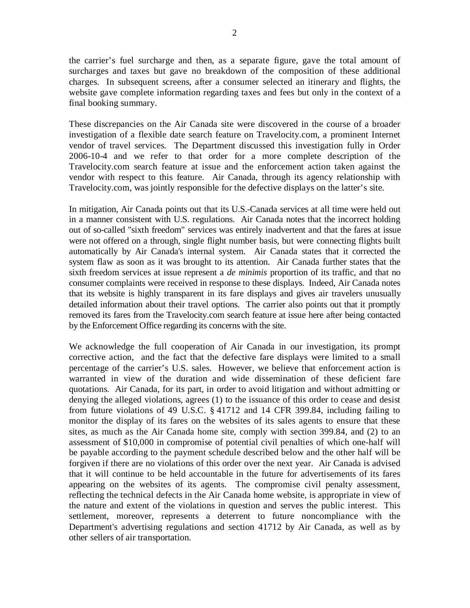the carrier's fuel surcharge and then, as a separate figure, gave the total amount of surcharges and taxes but gave no breakdown of the composition of these additional charges. In subsequent screens, after a consumer selected an itinerary and flights, the website gave complete information regarding taxes and fees but only in the context of a final booking summary.

These discrepancies on the Air Canada site were discovered in the course of a broader investigation of a flexible date search feature on Travelocity.com, a prominent Internet vendor of travel services. The Department discussed this investigation fully in Order 2006-10-4 and we refer to that order for a more complete description of the Travelocity.com search feature at issue and the enforcement action taken against the vendor with respect to this feature. Air Canada, through its agency relationship with Travelocity.com, was jointly responsible for the defective displays on the latter's site.

In mitigation, Air Canada points out that its U.S.-Canada services at all time were held out in a manner consistent with U.S. regulations. Air Canada notes that the incorrect holding out of so-called "sixth freedom" services was entirely inadvertent and that the fares at issue were not offered on a through, single flight number basis, but were connecting flights built automatically by Air Canada's internal system. Air Canada states that it corrected the system flaw as soon as it was brought to its attention. Air Canada further states that the sixth freedom services at issue represent a *de minimis* proportion of its traffic, and that no consumer complaints were received in response to these displays. Indeed, Air Canada notes that its website is highly transparent in its fare displays and gives air travelers unusually detailed information about their travel options. The carrier also points out that it promptly removed its fares from the Travelocity.com search feature at issue here after being contacted by the Enforcement Office regarding its concerns with the site.

We acknowledge the full cooperation of Air Canada in our investigation, its prompt corrective action, and the fact that the defective fare displays were limited to a small percentage of the carrier's U.S. sales. However, we believe that enforcement action is warranted in view of the duration and wide dissemination of these deficient fare quotations. Air Canada, for its part, in order to avoid litigation and without admitting or denying the alleged violations, agrees (1) to the issuance of this order to cease and desist from future violations of 49 U.S.C. § 41712 and 14 CFR 399.84, including failing to monitor the display of its fares on the websites of its sales agents to ensure that these sites, as much as the Air Canada home site, comply with section 399.84, and (2) to an assessment of \$10,000 in compromise of potential civil penalties of which one-half will be payable according to the payment schedule described below and the other half will be forgiven if there are no violations of this order over the next year. Air Canada is advised that it will continue to be held accountable in the future for advertisements of its fares appearing on the websites of its agents. The compromise civil penalty assessment, reflecting the technical defects in the Air Canada home website, is appropriate in view of the nature and extent of the violations in question and serves the public interest. This settlement, moreover, represents a deterrent to future noncompliance with the Department's advertising regulations and section 41712 by Air Canada, as well as by other sellers of air transportation.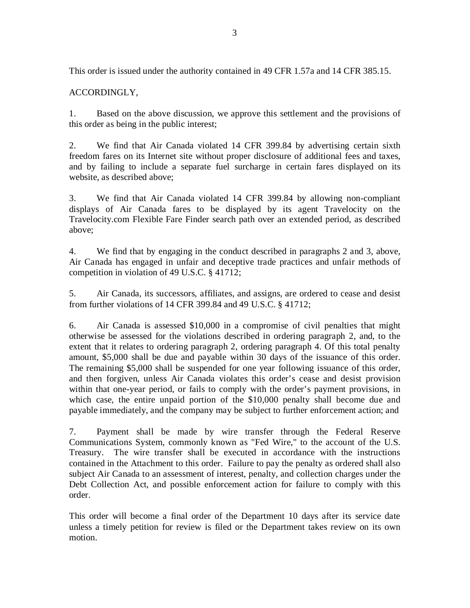This order is issued under the authority contained in 49 CFR 1.57a and 14 CFR 385.15.

## ACCORDINGLY,

1. Based on the above discussion, we approve this settlement and the provisions of this order as being in the public interest;

2. We find that Air Canada violated 14 CFR 399.84 by advertising certain sixth freedom fares on its Internet site without proper disclosure of additional fees and taxes, and by failing to include a separate fuel surcharge in certain fares displayed on its website, as described above;

3. We find that Air Canada violated 14 CFR 399.84 by allowing non-compliant displays of Air Canada fares to be displayed by its agent Travelocity on the Travelocity.com Flexible Fare Finder search path over an extended period, as described above;

4. We find that by engaging in the conduct described in paragraphs 2 and 3, above, Air Canada has engaged in unfair and deceptive trade practices and unfair methods of competition in violation of 49 U.S.C. § 41712;

5. Air Canada, its successors, affiliates, and assigns, are ordered to cease and desist from further violations of 14 CFR 399.84 and 49 U.S.C. § 41712;

6. Air Canada is assessed \$10,000 in a compromise of civil penalties that might otherwise be assessed for the violations described in ordering paragraph 2, and, to the extent that it relates to ordering paragraph 2, ordering paragraph 4. Of this total penalty amount, \$5,000 shall be due and payable within 30 days of the issuance of this order. The remaining \$5,000 shall be suspended for one year following issuance of this order, and then forgiven, unless Air Canada violates this order's cease and desist provision within that one-year period, or fails to comply with the order's payment provisions, in which case, the entire unpaid portion of the \$10,000 penalty shall become due and payable immediately, and the company may be subject to further enforcement action; and

7. Payment shall be made by wire transfer through the Federal Reserve Communications System, commonly known as "Fed Wire," to the account of the U.S. Treasury. The wire transfer shall be executed in accordance with the instructions contained in the Attachment to this order. Failure to pay the penalty as ordered shall also subject Air Canada to an assessment of interest, penalty, and collection charges under the Debt Collection Act, and possible enforcement action for failure to comply with this order.

This order will become a final order of the Department 10 days after its service date unless a timely petition for review is filed or the Department takes review on its own motion.